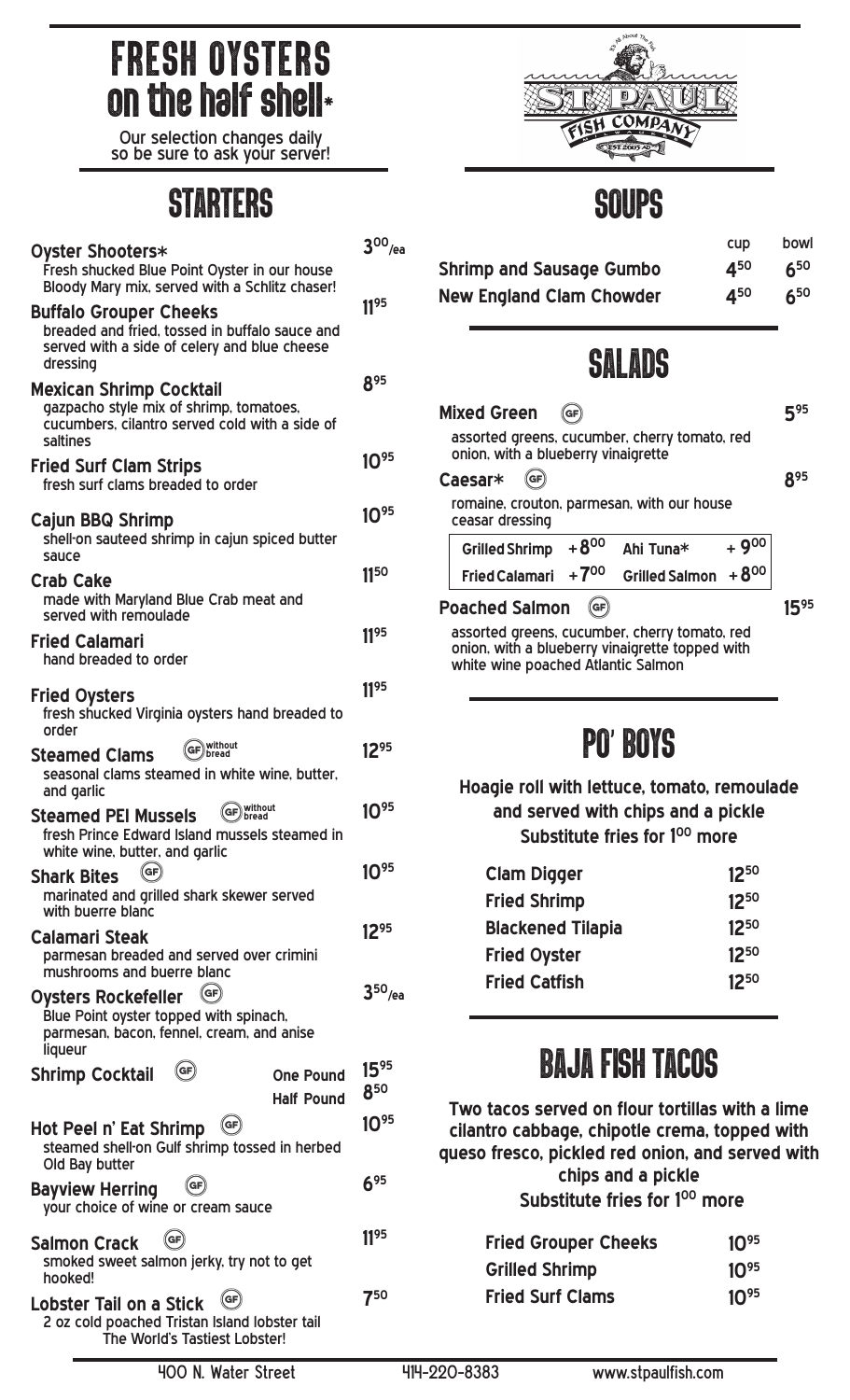# FRESH OYSTERS on the half shell\*

Our selection changes daily so be sure to ask your server!

### STARTERS SOUPS

|                                                                                                                                                 | $3^{00}$ /ea     |
|-------------------------------------------------------------------------------------------------------------------------------------------------|------------------|
| <b>Oyster Shooters*</b><br>Fresh shucked Blue Point Oyster in our house<br>Bloody Mary mix, served with a Schlitz chaser!                       |                  |
| <b>Buffalo Grouper Cheeks</b><br>breaded and fried, tossed in buffalo sauce and<br>served with a side of celery and blue cheese<br>dressing     | 1195             |
| <b>Mexican Shrimp Cocktail</b><br>gazpacho style mix of shrimp, tomatoes,<br>cucumbers, cilantro served cold with a side of<br>saltines         | 895              |
| <b>Fried Surf Clam Strips</b><br>fresh surf clams breaded to order                                                                              | $10^{95}$        |
| Cajun BBQ Shrimp<br>shell-on sauteed shrimp in cajun spiced butter<br>sauce                                                                     | $10^{95}$        |
| <b>Crab Cake</b><br>made with Maryland Blue Crab meat and<br>served with remoulade                                                              | 1150             |
| Fried Calamari<br>hand breaded to order                                                                                                         | 1195             |
| <b>Fried Oysters</b><br>fresh shucked Virginia oysters hand breaded to<br>order                                                                 | 1195             |
| GF without<br><b>Steamed Clams</b><br>seasonal clams steamed in white wine, butter,<br>and garlic                                               | 1295             |
| GF) without<br><b>Steamed PEI Mussels</b><br>fresh Prince Edward Island mussels steamed in<br>white wine, butter, and garlic                    | 1095             |
| (GF)<br><b>Shark Bites</b><br>marinated and grilled shark skewer served<br>with buerre blanc                                                    | $10^{95}$        |
| Calamari Steak<br>parmesan breaded and served over crimini<br>mushrooms and buerre blanc                                                        | 1295             |
| $(\mathsf{GF})$<br><b>Oysters Rockefeller</b><br>Blue Point oyster topped with spinach,<br>parmesan, bacon, fennel, cream, and anise<br>liqueur | $350$ /ea        |
| GF<br><b>Shrimp Cocktail</b><br><b>One Pound</b><br><b>Half Pound</b>                                                                           | $15^{95}$<br>850 |
| (GF<br>Hot Peel n' Eat Shrimp<br>steamed shell-on Gulf shrimp tossed in herbed<br>Old Bay butter                                                | 1095             |
| <b>Bayview Herring</b><br>your choice of wine or cream sauce                                                                                    | 695              |
| (GF<br>Salmon Crack<br>smoked sweet salmon jerky, try not to get<br>hooked!                                                                     | 1195             |
| (GF<br>Lobster Tail on a Stick<br>2 oz cold poached Tristan Island lobster tail<br>The World's Tastiest Lobster!                                | 750              |



howl

|                                 |                 | <b>CUP</b> DUNI |
|---------------------------------|-----------------|-----------------|
| <b>Shrimp and Sausage Gumbo</b> | 4 <sup>50</sup> | $6^{50}$        |
| <b>New England Clam Chowder</b> | 450             | $6^{50}$        |

### SALADS

|                                                                                                  | <b>Mixed Green</b><br>GF                                                             |                       |           | 595        |
|--------------------------------------------------------------------------------------------------|--------------------------------------------------------------------------------------|-----------------------|-----------|------------|
|                                                                                                  | assorted greens, cucumber, cherry tomato, red<br>onion, with a blueberry vinaigrette |                       |           |            |
|                                                                                                  | Caesar*<br><b>GF</b>                                                                 |                       |           | <b>R95</b> |
|                                                                                                  | romaine, crouton, parmesan, with our house<br>ceasar dressing                        |                       |           |            |
|                                                                                                  | $+8^{00}$<br><b>Grilled Shrimp</b>                                                   | Ahi Tuna*             | $+9^{00}$ |            |
|                                                                                                  | $+700$<br><b>Fried Calamari</b>                                                      | <b>Grilled Salmon</b> | $+8^{00}$ |            |
|                                                                                                  | <b>Poached Salmon</b><br>(GF)                                                        |                       |           | 595        |
| assorted greens, cucumber, cherry tomato, red<br>onion, with a blueberry vinaigrette topped with |                                                                                      |                       |           |            |

onion, with a blueberry vinaigrette topped with white wine poached Atlantic Salmon

## PO' BOYS

**Hoagie roll with lettuce, tomato, remoulade and served with chips and a pickle** Substitute fries for 1<sup>00</sup> more

| 1250      |
|-----------|
| $12^{50}$ |
| 1250      |
| 1250      |
| $12^{50}$ |
|           |

## BAJA FISH TACOS

**Two tacos served on flour tortillas with a lime cilantro cabbage, chipotle crema, topped with queso fresco, pickled red onion, and served with chips and a pickle** Substitute fries for 1<sup>00</sup> more

| <b>Fried Grouper Cheeks</b> | $10^{95}$ |
|-----------------------------|-----------|
| <b>Grilled Shrimp</b>       | $10^{95}$ |
| <b>Fried Surf Clams</b>     | $10^{95}$ |